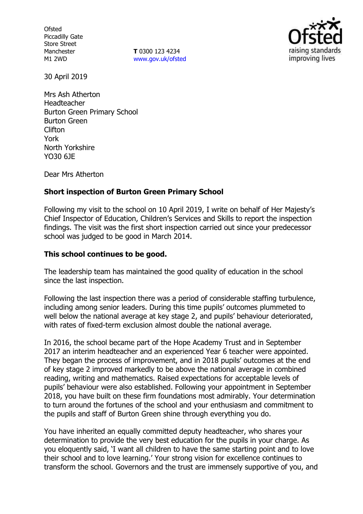**Ofsted** Piccadilly Gate Store Street Manchester M1 2WD

**T** 0300 123 4234 www.gov.uk/ofsted



30 April 2019

Mrs Ash Atherton Headteacher Burton Green Primary School Burton Green Clifton York North Yorkshire YO30 6JE

Dear Mrs Atherton

## **Short inspection of Burton Green Primary School**

Following my visit to the school on 10 April 2019, I write on behalf of Her Majesty's Chief Inspector of Education, Children's Services and Skills to report the inspection findings. The visit was the first short inspection carried out since your predecessor school was judged to be good in March 2014.

## **This school continues to be good.**

The leadership team has maintained the good quality of education in the school since the last inspection.

Following the last inspection there was a period of considerable staffing turbulence, including among senior leaders. During this time pupils' outcomes plummeted to well below the national average at key stage 2, and pupils' behaviour deteriorated, with rates of fixed-term exclusion almost double the national average.

In 2016, the school became part of the Hope Academy Trust and in September 2017 an interim headteacher and an experienced Year 6 teacher were appointed. They began the process of improvement, and in 2018 pupils' outcomes at the end of key stage 2 improved markedly to be above the national average in combined reading, writing and mathematics. Raised expectations for acceptable levels of pupils' behaviour were also established. Following your appointment in September 2018, you have built on these firm foundations most admirably. Your determination to turn around the fortunes of the school and your enthusiasm and commitment to the pupils and staff of Burton Green shine through everything you do.

You have inherited an equally committed deputy headteacher, who shares your determination to provide the very best education for the pupils in your charge. As you eloquently said, 'I want all children to have the same starting point and to love their school and to love learning.' Your strong vision for excellence continues to transform the school. Governors and the trust are immensely supportive of you, and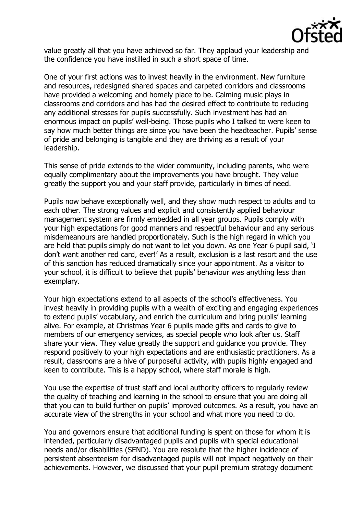

value greatly all that you have achieved so far. They applaud your leadership and the confidence you have instilled in such a short space of time.

One of your first actions was to invest heavily in the environment. New furniture and resources, redesigned shared spaces and carpeted corridors and classrooms have provided a welcoming and homely place to be. Calming music plays in classrooms and corridors and has had the desired effect to contribute to reducing any additional stresses for pupils successfully. Such investment has had an enormous impact on pupils' well-being. Those pupils who I talked to were keen to say how much better things are since you have been the headteacher. Pupils' sense of pride and belonging is tangible and they are thriving as a result of your leadership.

This sense of pride extends to the wider community, including parents, who were equally complimentary about the improvements you have brought. They value greatly the support you and your staff provide, particularly in times of need.

Pupils now behave exceptionally well, and they show much respect to adults and to each other. The strong values and explicit and consistently applied behaviour management system are firmly embedded in all year groups. Pupils comply with your high expectations for good manners and respectful behaviour and any serious misdemeanours are handled proportionately. Such is the high regard in which you are held that pupils simply do not want to let you down. As one Year 6 pupil said, 'I don't want another red card, ever!' As a result, exclusion is a last resort and the use of this sanction has reduced dramatically since your appointment. As a visitor to your school, it is difficult to believe that pupils' behaviour was anything less than exemplary.

Your high expectations extend to all aspects of the school's effectiveness. You invest heavily in providing pupils with a wealth of exciting and engaging experiences to extend pupils' vocabulary, and enrich the curriculum and bring pupils' learning alive. For example, at Christmas Year 6 pupils made gifts and cards to give to members of our emergency services, as special people who look after us. Staff share your view. They value greatly the support and guidance you provide. They respond positively to your high expectations and are enthusiastic practitioners. As a result, classrooms are a hive of purposeful activity, with pupils highly engaged and keen to contribute. This is a happy school, where staff morale is high.

You use the expertise of trust staff and local authority officers to regularly review the quality of teaching and learning in the school to ensure that you are doing all that you can to build further on pupils' improved outcomes. As a result, you have an accurate view of the strengths in your school and what more you need to do.

You and governors ensure that additional funding is spent on those for whom it is intended, particularly disadvantaged pupils and pupils with special educational needs and/or disabilities (SEND). You are resolute that the higher incidence of persistent absenteeism for disadvantaged pupils will not impact negatively on their achievements. However, we discussed that your pupil premium strategy document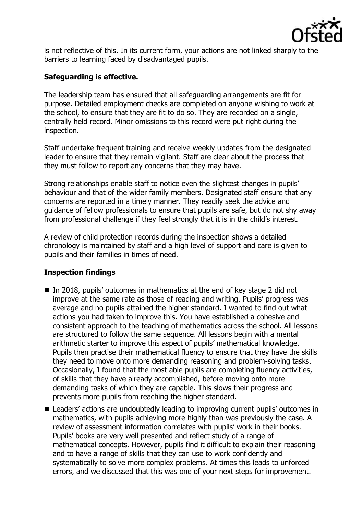

is not reflective of this. In its current form, your actions are not linked sharply to the barriers to learning faced by disadvantaged pupils.

## **Safeguarding is effective.**

The leadership team has ensured that all safeguarding arrangements are fit for purpose. Detailed employment checks are completed on anyone wishing to work at the school, to ensure that they are fit to do so. They are recorded on a single, centrally held record. Minor omissions to this record were put right during the inspection.

Staff undertake frequent training and receive weekly updates from the designated leader to ensure that they remain vigilant. Staff are clear about the process that they must follow to report any concerns that they may have.

Strong relationships enable staff to notice even the slightest changes in pupils' behaviour and that of the wider family members. Designated staff ensure that any concerns are reported in a timely manner. They readily seek the advice and guidance of fellow professionals to ensure that pupils are safe, but do not shy away from professional challenge if they feel strongly that it is in the child's interest.

A review of child protection records during the inspection shows a detailed chronology is maintained by staff and a high level of support and care is given to pupils and their families in times of need.

# **Inspection findings**

- In 2018, pupils' outcomes in mathematics at the end of key stage 2 did not improve at the same rate as those of reading and writing. Pupils' progress was average and no pupils attained the higher standard. I wanted to find out what actions you had taken to improve this. You have established a cohesive and consistent approach to the teaching of mathematics across the school. All lessons are structured to follow the same sequence. All lessons begin with a mental arithmetic starter to improve this aspect of pupils' mathematical knowledge. Pupils then practise their mathematical fluency to ensure that they have the skills they need to move onto more demanding reasoning and problem-solving tasks. Occasionally, I found that the most able pupils are completing fluency activities, of skills that they have already accomplished, before moving onto more demanding tasks of which they are capable. This slows their progress and prevents more pupils from reaching the higher standard.
- Leaders' actions are undoubtedly leading to improving current pupils' outcomes in mathematics, with pupils achieving more highly than was previously the case. A review of assessment information correlates with pupils' work in their books. Pupils' books are very well presented and reflect study of a range of mathematical concepts. However, pupils find it difficult to explain their reasoning and to have a range of skills that they can use to work confidently and systematically to solve more complex problems. At times this leads to unforced errors, and we discussed that this was one of your next steps for improvement.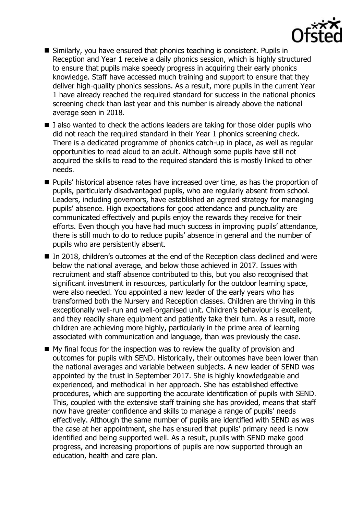

- Similarly, you have ensured that phonics teaching is consistent. Pupils in Reception and Year 1 receive a daily phonics session, which is highly structured to ensure that pupils make speedy progress in acquiring their early phonics knowledge. Staff have accessed much training and support to ensure that they deliver high-quality phonics sessions. As a result, more pupils in the current Year 1 have already reached the required standard for success in the national phonics screening check than last year and this number is already above the national average seen in 2018.
- $\blacksquare$  I also wanted to check the actions leaders are taking for those older pupils who did not reach the required standard in their Year 1 phonics screening check. There is a dedicated programme of phonics catch-up in place, as well as regular opportunities to read aloud to an adult. Although some pupils have still not acquired the skills to read to the required standard this is mostly linked to other needs.
- **Pupils'** historical absence rates have increased over time, as has the proportion of pupils, particularly disadvantaged pupils, who are regularly absent from school. Leaders, including governors, have established an agreed strategy for managing pupils' absence. High expectations for good attendance and punctuality are communicated effectively and pupils enjoy the rewards they receive for their efforts. Even though you have had much success in improving pupils' attendance, there is still much to do to reduce pupils' absence in general and the number of pupils who are persistently absent.
- In 2018, children's outcomes at the end of the Reception class declined and were below the national average, and below those achieved in 2017. Issues with recruitment and staff absence contributed to this, but you also recognised that significant investment in resources, particularly for the outdoor learning space, were also needed. You appointed a new leader of the early years who has transformed both the Nursery and Reception classes. Children are thriving in this exceptionally well-run and well-organised unit. Children's behaviour is excellent, and they readily share equipment and patiently take their turn. As a result, more children are achieving more highly, particularly in the prime area of learning associated with communication and language, than was previously the case.
- $\blacksquare$  My final focus for the inspection was to review the quality of provision and outcomes for pupils with SEND. Historically, their outcomes have been lower than the national averages and variable between subjects. A new leader of SEND was appointed by the trust in September 2017. She is highly knowledgeable and experienced, and methodical in her approach. She has established effective procedures, which are supporting the accurate identification of pupils with SEND. This, coupled with the extensive staff training she has provided, means that staff now have greater confidence and skills to manage a range of pupils' needs effectively. Although the same number of pupils are identified with SEND as was the case at her appointment, she has ensured that pupils' primary need is now identified and being supported well. As a result, pupils with SEND make good progress, and increasing proportions of pupils are now supported through an education, health and care plan.